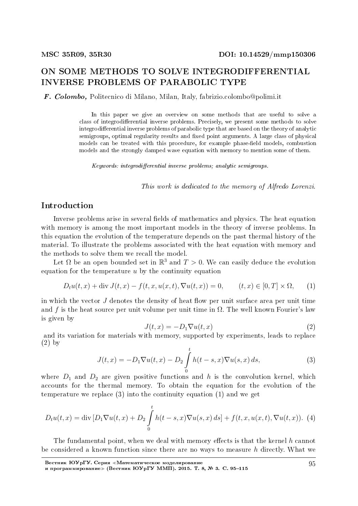# ON SOME METHODS TO SOLVE INTEGRODIFFERENTIAL INVERSE PROBLEMS OF PARABOLIC TYPE

F. Colombo, Politecnico di Milano, Milan, Italy, fabrizio.colombo@polimi.it

In this paper we give an overview on some methods that are useful to solve a class of integrodifferential inverse problems. Precisely, we present some methods to solve integrodifferential inverse problems of parabolic type that are based on the theory of analytic semigroups, optimal regularity results and fixed point arguments. A large class of physical models can be treated with this procedure, for example phase-field models, combustion models and the strongly damped wave equation with memory to mention some of them.

 $Keywords: integration differential inverse problems; analytic semigroups.$ 

This work is dedicated to the memory of Alfredo Lorenzi.

## Introduction

Inverse problems arise in several fields of mathematics and physics. The heat equation with memory is among the most important models in the theory of inverse problems. In this equation the evolution of the temperature depends on the past thermal history of the material. To illustrate the problems associated with the heat equation with memory and the methods to solve them we recall the model.

Let  $\Omega$  be an open bounded set in  $\mathbb{R}^3$  and  $T > 0$ . We can easily deduce the evolution equation for the temperature *u* by the continuity equation

$$
D_t u(t, x) + \text{div } J(t, x) - f(t, x, u(x, t), \nabla u(t, x)) = 0, \qquad (t, x) \in [0, T] \times \Omega,
$$
 (1)

in which the vector  $J$  denotes the density of heat flow per unit surface area per unit time and f is the heat source per unit volume per unit time in  $\Omega$ . The well known Fourier's law is given by

$$
J(t,x) = -D_1 \nabla u(t,x) \tag{2}
$$

and its variation for materials with memory, supported by experiments, leads to replace (2) by

$$
J(t,x) = -D_1 \nabla u(t,x) - D_2 \int_{0}^{t} h(t-s,x) \nabla u(s,x) ds,
$$
 (3)

where  $D_1$  and  $D_2$  are given positive functions and *h* is the convolution kernel, which accounts for the thermal memory. To obtain the equation for the evolution of the temperature we replace (3) into the continuity equation (1) and we get

$$
D_t u(t, x) = \text{div} \left[ D_1 \nabla u(t, x) + D_2 \int_0^t h(t - s, x) \nabla u(s, x) \, ds \right] + f(t, x, u(x, t), \nabla u(t, x)). \tag{4}
$$

The fundamental point, when we deal with memory effects is that the kernel h cannot be considered a known function since there are no ways to measure *h* directly. What we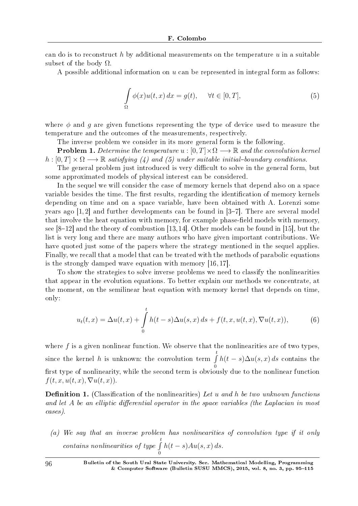can do is to reconstruct *h* by additional measurements on the temperature *u* in a suitable subset of the body  $\Omega$ .

A possible additional information on *u* can be represented in integral form as follows:

$$
\int_{\Omega} \phi(x)u(t,x) dx = g(t), \quad \forall t \in [0,T],
$$
\n(5)

where *ϕ* and *g* are given functions representing the type of device used to measure the temperature and the outcomes of the measurements, respectively.

The inverse problem we consider in its more general form is the following.

**Problem 1.** Determine the temperature  $u : [0, T] \times \Omega \longrightarrow \mathbb{R}$  and the convolution kernel  $h: [0, T] \times \Omega \longrightarrow \mathbb{R}$  satisfying (4) and (5) under suitable initial-boundary conditions.

The general problem just introduced is very difficult to solve in the general form, but some approximated models of physical interest can be considered.

In the sequel we will consider the case of memory kernels that depend also on a space variable besides the time. The first results, regarding the identification of memory kernels depending on time and on a space variable, have been obtained with A. Lorenzi some years ago  $[1,2]$  and further developments can be found in  $[3-7]$ . There are several model that involve the heat equation with memory, for example phase-field models with memory, see  $[8-12]$  and the theory of combustion  $[13,14]$ . Other models can be found in [15], but the list is very long and there are many authors who have given important contributions. We have quoted just some of the papers where the strategy mentioned in the sequel applies. Finally, we recall that a model that can be treated with the methods of parabolic equations is the strongly damped wave equation with memory [16, 17].

To show the strategies to solve inverse problems we need to classify the nonlinearities that appear in the evolution equations. To better explain our methods we concentrate, at the moment, on the semilinear heat equation with memory kernel that depends on time, only:

$$
u_t(t,x) = \Delta u(t,x) + \int_0^t h(t-s)\Delta u(s,x) \, ds + f(t,x,u(t,x), \nabla u(t,x)), \tag{6}
$$

where  $f$  is a given nonlinear function. We observe that the nonlinearities are of two types, since the kernel *h* is unknown: the convolution term ∫ *t*  $\mathbf{0}$  $h(t-s)\Delta u(s,x) ds$  contains the first type of nonlinearity, while the second term is obviously due to the nonlinear function  $f(t, x, u(t, x), \nabla u(t, x)).$ 

**Definition 1.** (Classification of the nonlinearities) Let *u* and *h* be two unknown functions and let *A* be an elliptic differential operator in the space variables (the Laplacian in most cases).

(a) We say that an inverse problem has nonlinearities of convolution type if it only contains nonlinearities of type ∫ *t* 0 *h*(*t − s*)*Au*(*s, x*) *ds*.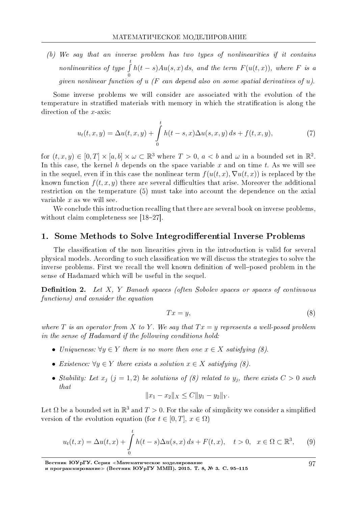(b) We say that an inverse problem has two types of nonlinearities if it contains nonlinearities of type ∫ *t*  $\mathbf{0}$  $h(t-s)Au(s, x) ds$ , and the term  $F(u(t, x))$ , where *F* is a given nonlinear function of *u* (*F* can depend also on some spatial derivatives of *u*).

Some inverse problems we will consider are associated with the evolution of the temperature in stratified materials with memory in which the stratification is along the direction of the *x*-axis:

$$
u_t(t, x, y) = \Delta u(t, x, y) + \int_0^t h(t - s, x) \Delta u(s, x, y) ds + f(t, x, y),
$$
\n(7)

for  $(t, x, y) \in [0, T] \times [a, b] \times \omega \subset \mathbb{R}^3$  where  $T > 0$ ,  $a < b$  and  $\omega$  in a bounded set in  $\mathbb{R}^2$ . In this case, the kernel *h* depends on the space variable *x* and on time *t*. As we will see in the sequel, even if in this case the nonlinear term  $f(u(t, x), \nabla u(t, x))$  is replaced by the known function  $f(t, x, y)$  there are several difficulties that arise. Moreover the additional restriction on the temperature (5) must take into account the dependence on the axial variable *x* as we will see.

We conclude this introduction recalling that there are several book on inverse problems. without claim completeness see  $[18-27]$ .

#### 1. Some Methods to Solve Integrodifferential Inverse Problems

The classification of the non linearities given in the introduction is valid for several physical models. According to such classication we will discuss the strategies to solve the inverse problems. First we recall the well known definition of well-posed problem in the sense of Hadamard which will be useful in the sequel.

**Definition 2.** Let *X*, *Y* Banach spaces (often Sobolev spaces or spaces of continuous functions) and consider the equation

$$
Tx = y,\tag{8}
$$

where *T* is an operator from *X* to *Y*. We say that  $Tx = y$  represents a well-posed problem in the sense of Hadamard if the following conditions hold:

- Uniqueness:  $\forall y \in Y$  there is no more then one  $x \in X$  satisfying (8).
- Existence:  $\forall y \in Y$  there exists a solution  $x \in X$  satisfying (8).
- Stability: Let  $x_j$  ( $j = 1, 2$ ) be solutions of (8) related to  $y_j$ , there exists  $C > 0$  such that

$$
||x_1 - x_2||_X \le C||y_1 - y_2||_Y.
$$

Let  $\Omega$  be a bounded set in  $\mathbb{R}^3$  and  $T>0.$  For the sake of simplicity we consider a simplified version of the evolution equation (for  $t \in [0, T]$ ,  $x \in \Omega$ )

$$
u_t(t,x) = \Delta u(t,x) + \int_0^t h(t-s)\Delta u(s,x) ds + F(t,x), \quad t > 0, \quad x \in \Omega \subset \mathbb{R}^3,
$$
 (9)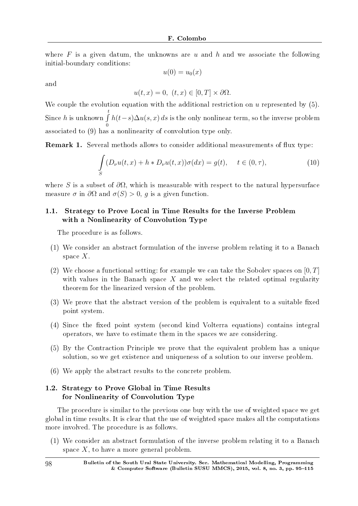where *F* is a given datum, the unknowns are *u* and *h* and we associate the following initial-boundary conditions:

$$
u(0) = u_0(x)
$$

and

$$
u(t, x) = 0, \ (t, x) \in [0, T] \times \partial \Omega.
$$

We couple the evolution equation with the additional restriction on *u* represented by (5). Since *h* is unknown ∫ *t*  $\mathbf{0}$ *h*(*t−s*)∆*u*(*s, x*) *ds* is the only nonlinear term, so the inverse problem associated to (9) has a nonlinearity of convolution type only.

**Remark 1.** Several methods allows to consider additional measurements of flux type:

$$
\int_{S} (D_{\nu}u(t,x) + h * D_{\nu}u(t,x))\sigma(dx) = g(t), \quad t \in (0,\tau),
$$
\n(10)

where *S* is a subset of  $\partial\Omega$ , which is measurable with respect to the natural hypersurface measure  $\sigma$  in  $\partial\Omega$  and  $\sigma(S) > 0$ , q is a given function.

## 1.1. Strategy to Prove Local in Time Results for the Inverse Problem with a Nonlinearity of Convolution Type

The procedure is as follows.

- (1) We consider an abstract formulation of the inverse problem relating it to a Banach space *X*.
- (2) We choose a functional setting: for example we can take the Sobolev spaces on [0*, T*] with values in the Banach space X and we select the related optimal regularity theorem for the linearized version of the problem.
- $(3)$  We prove that the abstract version of the problem is equivalent to a suitable fixed point system.
- (4) Since the fixed point system (second kind Volterra equations) contains integral operators, we have to estimate them in the spaces we are considering.
- (5) By the Contraction Principle we prove that the equivalent problem has a unique solution, so we get existence and uniqueness of a solution to our inverse problem.
- (6) We apply the abstract results to the concrete problem.

## 1.2. Strategy to Prove Global in Time Results for Nonlinearity of Convolution Type

The procedure is similar to the previous one buy with the use of weighted space we get global in time results. It is clear that the use of weighted space makes all the computations more involved. The procedure is as follows.

(1) We consider an abstract formulation of the inverse problem relating it to a Banach space *X*, to have a more general problem.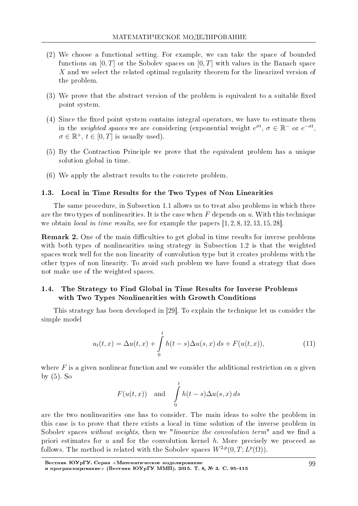- (2) We choose a functional setting. For example, we can take the space of bounded functions on [0*, T*] or the Sobolev spaces on [0*, T*] with values in the Banach space *X* and we select the related optimal regularity theorem for the linearized version of the problem.
- $(3)$  We prove that the abstract version of the problem is equivalent to a suitable fixed point system.
- $(4)$  Since the fixed point system contains integral operators, we have to estimate them in the *weighted spaces* we are considering (exponential weight  $e^{\sigma t}$ ,  $\sigma \in \mathbb{R}^-$  or  $e^{-\sigma t}$ ,  $\sigma \in \mathbb{R}^+$ ,  $t \in [0, T]$  is usually used).
- (5) By the Contraction Principle we prove that the equivalent problem has a unique solution global in time.
- (6) We apply the abstract results to the concrete problem.

#### 1.3. Local in Time Results for the Two Types of Non Linearities

The same procedure, in Subsection 1.1 allows us to treat also problems in which there are the two types of nonlinearities. It is the case when *F* depends on *u*. With this technique we obtain *local in time results*, see for example the papers  $[1, 2, 8, 12, 13, 15, 28]$ .

**Remark 2.** One of the main difficulties to get global in time results for inverse problems with both types of nonlinearities using strategy in Subsection 1.2 is that the weighted spaces work well for the non linearity of convolution type but it creates problems with the other types of non linearity. To avoid such problem we have found a strategy that does not make use of the weighted spaces.

## 1.4. The Strategy to Find Global in Time Results for Inverse Problems with Two Types Nonlinearities with Growth Conditions

This strategy has been developed in [29]. To explain the technique let us consider the simple model

$$
u_t(t,x) = \Delta u(t,x) + \int_{0}^{t} h(t-s)\Delta u(s,x) ds + F(u(t,x)),
$$
\n(11)

where F is a given nonlinear function and we consider the additional restriction on *u* given by (5). So

$$
F(u(t,x))
$$
 and  $\int_{0}^{t} h(t-s)\Delta u(s,x) ds$ 

are the two nonlinearities one has to consider. The main ideas to solve the problem in this case is to prove that there exists a local in time solution of the inverse problem in Sobolev spaces without weights, then we "linearize the convolution term" and we find a priori estimates for *u* and for the convolution kernel *h*. More precisely we proceed as follows. The method is related with the Sobolev spaces  $W^{2,p}(0,T;L^p(\Omega))$ .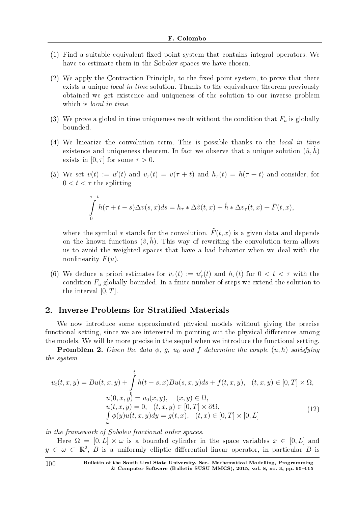- $(1)$  Find a suitable equivalent fixed point system that contains integral operators. We have to estimate them in the Sobolev spaces we have chosen.
- $(2)$  We apply the Contraction Principle, to the fixed point system, to prove that there exists a unique *local in time* solution. Thanks to the equivalence theorem previously obtained we get existence and uniqueness of the solution to our inverse problem which is *local in time*.
- (3) We prove a global in time uniqueness result without the condition that  $F_u$  is globally bounded.
- (4) We linearize the convolution term. This is possible thanks to the local in time existence and uniqueness theorem. In fact we observe that a unique solution  $(\hat{u}, h)$ exists in  $[0, \tau]$  for some  $\tau > 0$ .
- (5) We set  $v(t) := u'(t)$  and  $v_{\tau}(t) = v(\tau + t)$  and  $h_{\tau}(t) = h(\tau + t)$  and consider, for  $0 < t < \tau$  the splitting

$$
\int_{0}^{\tau+t} h(\tau+t-s)\Delta v(s,x)ds = h_{\tau} * \Delta \hat{v}(t,x) + \hat{h} * \Delta v_{\tau}(t,x) + \tilde{F}(t,x),
$$

where the symbol  $*$  stands for the convolution.  $\tilde{F}(t, x)$  is a given data and depends on the known functions  $(\hat{v}, \hat{h})$ . This way of rewriting the convolution term allows us to avoid the weighted spaces that have a bad behavior when we deal with the nonlinearity *F*(*u*).

(6) We deduce a priori estimates for  $v_\tau(t) := u'_\tau(t)$  and  $h_\tau(t)$  for  $0 < t < \tau$  with the condition  $F_u$  globally bounded. In a finite number of steps we extend the solution to the interval [0*, T*].

## 2. Inverse Problems for Stratified Materials

We now introduce some approximated physical models without giving the precise functional setting, since we are interested in pointing out the physical differences among the models. We will be more precise in the sequel when we introduce the functional setting.

**Promblem 2.** Given the data  $\phi$ ,  $g$ ,  $u_0$  and  $f$  determine the couple  $(u, h)$  satisfying the system

$$
u_t(t, x, y) = Bu(t, x, y) + \int_0^t h(t - s, x)Bu(s, x, y)ds + f(t, x, y), \quad (t, x, y) \in [0, T] \times \Omega,
$$
  
\n
$$
u(0, x, y) = u_0(x, y), \quad (x, y) \in \Omega,
$$
  
\n
$$
u(t, x, y) = 0, \quad (t, x, y) \in [0, T] \times \partial\Omega,
$$
  
\n
$$
\int_0^t \phi(y)u(t, x, y)dy = g(t, x), \quad (t, x) \in [0, T] \times [0, L]
$$
\n(12)

in the framework of Sobolev fractional order spaces.

Here  $\Omega = [0, L] \times \omega$  is a bounded cylinder in the space variables  $x \in [0, L]$  and  $y \in \omega \subset \mathbb{R}^2$ , *B* is a uniformly elliptic differential linear operator, in particular *B* is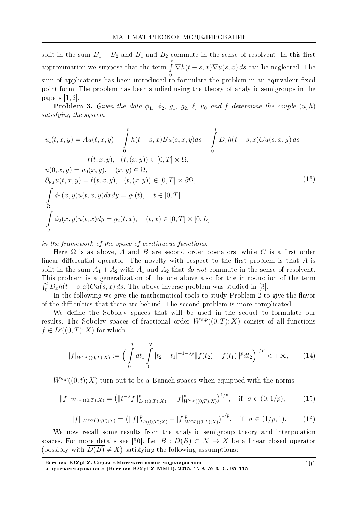split in the sum  $B_1 + B_2$  and  $B_1$  and  $B_2$  commute in the sense of resolvent. In this first approximation we suppose that the term ∫ *t* 0  $\nabla h(t-s,x)\nabla u(s,x) ds$  can be neglected. The sum of applications has been introduced to formulate the problem in an equivalent fixed point form. The problem has been studied using the theory of analytic semigroups in the papers [1, 2].

**Problem 3.** Given the data  $\phi_1$ ,  $\phi_2$ ,  $g_1$ ,  $g_2$ ,  $\ell$ ,  $u_0$  and  $f$  determine the couple  $(u, h)$ satisfying the system

$$
u_t(t, x, y) = Au(t, x, y) + \int_{0}^{t} h(t - s, x)Bu(s, x, y)ds + \int_{0}^{t} D_xh(t - s, x)Cu(s, x, y) ds + f(t, x, y), (t, (x, y)) \in [0, T] \times \Omega, u(0, x, y) = u_0(x, y), (x, y) \in \Omega, \partial_{\nu_A}u(t, x, y) = \ell(t, x, y), (t, (x, y)) \in [0, T] \times \partial\Omega, \int_{\Omega} \phi_1(x, y)u(t, x, y)dx dy = g_1(t), t \in [0, T] \int_{\omega} \phi_2(x, y)u(t, x)dy = g_2(t, x), (t, x) \in [0, T] \times [0, L]
$$
\n(13)

in the framework of the space of continuous functions.

Here  $\Omega$  is as above, A and B are second order operators, while C is a first order linear differential operator. The novelty with respect to the first problem is that  $A$  is split in the sum  $A_1 + A_2$  with  $A_1$  and  $A_2$  that do not commute in the sense of resolvent. This problem is a generalization of the one above also for the introduction of the term  $\int_0^t D_x h(t-s,x) C u(s,x) ds$ . The above inverse problem was studied in [3].

In the following we give the mathematical tools to study Problem 2 to give the flavor of the difficulties that there are behind. The second problem is more complicated.

We define the Sobolev spaces that will be used in the sequel to formulate our results. The Sobolev spaces of fractional order  $W^{\sigma,p}((0,T);X)$  consist of all functions  $f \in L^p((0,T); X)$  for which

$$
|f|_{W^{\sigma,p}((0,T);X)} := \Big(\int\limits_0^T dt_1 \int\limits_0^T |t_2 - t_1|^{-1-\sigma p} \|f(t_2) - f(t_1)\|^p dt_2\Big)^{1/p} < +\infty,
$$
 (14)

 $W^{\sigma,p}((0,t);X)$  turn out to be a Banach spaces when equipped with the norms

$$
||f||_{W^{\sigma,p}((0,T);X)} = (||t^{-\sigma}f||^p_{L^p((0,T);X)} + |f|^p_{W^{\sigma,p}((0,T);X)})^{1/p}, \text{ if } \sigma \in (0,1/p),
$$
 (15)

$$
||f||_{W^{\sigma,p}((0,T);X)} = (||f||^p_{L^p((0,T);X)} + |f|^p_{W^{\sigma,p}((0,T);X)})^{1/p}, \text{ if } \sigma \in (1/p,1). \tag{16}
$$

We now recall some results from the analytic semigroup theory and interpolation spaces. For more details see [30]. Let  $B: D(B) \subset X \to X$  be a linear closed operator (possibly with  $D(B) \neq X$ ) satisfying the following assumptions: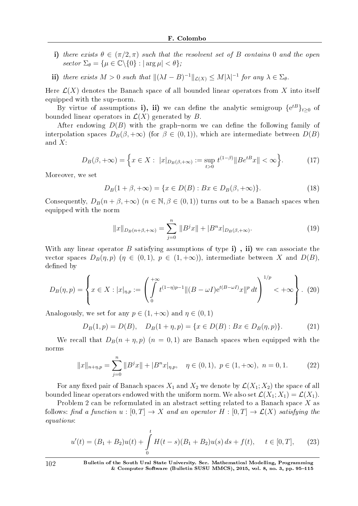- i) there exists  $\theta \in (\pi/2, \pi)$  such that the resolvent set of *B* contains 0 and the open  $\text{sector }\Sigma_{\theta} = \{\mu \in \mathbb{C} \setminus \{0\} : |\arg \mu| < \theta\};\$
- ii) there exists  $M > 0$  such that  $\|(\lambda I B)^{-1}\|_{\mathcal{L}(X)} \le M|\lambda|^{-1}$  for any  $\lambda \in \Sigma_{\theta}$ .

Here  $\mathcal{L}(X)$  denotes the Banach space of all bounded linear operators from X into itself equipped with the sup-norm.

By virtue of assumptions **i**), **ii**) we can define the analytic semigroup  $\{e^{tB}\}_{t\geq 0}$  of bounded linear operators in  $\mathcal{L}(X)$  generated by *B*.

After endowing  $D(B)$  with the graph-norm we can define the following family of interpolation spaces  $D_B(\beta, +\infty)$  (for  $\beta \in (0,1)$ ), which are intermediate between  $D(B)$ and *X*:

$$
D_B(\beta, +\infty) = \left\{ x \in X : \ |x|_{D_B(\beta, +\infty)} := \sup_{t>0} t^{(1-\beta)} \| B e^{tB} x \| < \infty \right\}.
$$
 (17)

Moreover, we set

$$
D_B(1 + \beta, +\infty) = \{x \in D(B) : Bx \in D_B(\beta, +\infty)\}.
$$
 (18)

Consequently,  $D_B(n + \beta, +\infty)$  ( $n \in \mathbb{N}, \beta \in (0,1)$ ) turns out to be a Banach spaces when equipped with the norm

$$
||x||_{D_B(n+\beta,+\infty)} = \sum_{j=0}^n ||B^j x|| + |B^n x|_{D_B(\beta,+\infty)}.
$$
\n(19)

With any linear operator *B* satisfying assumptions of type **i**), **ii**) we can associate the vector spaces  $D_B(\eta, p)$  ( $\eta \in (0, 1), p \in (1, +\infty)$ ), intermediate between X and  $D(B)$ , defined by

$$
D_B(\eta, p) = \left\{ x \in X : |x|_{\eta, p} := \left( \int_0^{+\infty} t^{(1-\eta)p-1} \|(B - \omega I)e^{t(B - \omega I)}x\|^p dt \right)^{1/p} < +\infty \right\}.
$$
 (20)

Analogously, we set for any  $p \in (1, +\infty)$  and  $\eta \in (0, 1)$ 

$$
D_B(1, p) = D(B), \quad D_B(1 + \eta, p) = \{x \in D(B) : Bx \in D_B(\eta, p)\}.
$$
 (21)

We recall that  $D_B(n + \eta, p)$  ( $n = 0, 1$ ) are Banach spaces when equipped with the norms

$$
||x||_{n+\eta,p} = \sum_{j=0}^{n} ||B^j x|| + |B^n x|_{\eta,p}, \quad \eta \in (0,1), \ p \in (1,+\infty), \ n = 0,1.
$$
 (22)

For any fixed pair of Banach spaces  $X_1$  and  $X_2$  we denote by  $\mathcal{L}(X_1; X_2)$  the space of all bounded linear operators endowed with the uniform norm. We also set  $\mathcal{L}(X_1; X_1) = \mathcal{L}(X_1)$ .

Problem 2 can be reformulated in an abstract setting related to a Banach space *X* as follows: find a function  $u : [0, T] \to X$  and an operator  $H : [0, T] \to \mathcal{L}(X)$  satisfying the equations:

$$
u'(t) = (B_1 + B_2)u(t) + \int_0^t H(t - s)(B_1 + B_2)u(s) ds + f(t), \quad t \in [0, T], \quad (23)
$$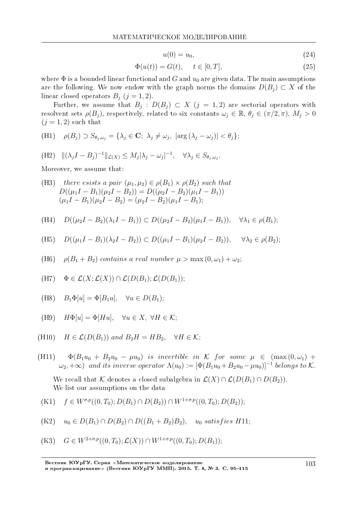$$
u(0) = u_0,\t\t(24)
$$

$$
\Phi(u(t)) = G(t), \quad t \in [0, T], \tag{25}
$$

where  $\Phi$  is a bounded linear functional and *G* and  $u_0$  are given data. The main assumptions are the following. We now endow with the graph norms the domains  $D(B_i) \subset X$  of the linear closed operators  $B_j$  ( $j = 1, 2$ ).

Further, we assume that  $B_j$ :  $D(B_j) \subset X$   $(j = 1, 2)$  are sectorial operators with resolvent sets  $\rho(B_j)$ , respectively, related to six constants  $\omega_j \in \mathbb{R}$ ,  $\theta_j \in (\pi/2, \pi)$ ,  $M_j > 0$  $(i = 1, 2)$  such that

(H1) 
$$
\rho(B_j) \supset S_{\theta_j,\omega_j} = {\lambda_j \in \mathbf{C}; \lambda_j \neq \omega_j, |\arg(\lambda_j - \omega_j)| < \theta_j};
$$

(H2) 
$$
\|(\lambda_j I - B_j)^{-1}\|_{\mathcal{L}(X)} \le M_j |\lambda_j - \omega_j|^{-1}, \quad \forall \lambda_j \in S_{\theta_j, \omega_j}.
$$

Moreover, we assume that:

(H3) there exists a pair 
$$
(\mu_1, \mu_2) \in \rho(B_1) \times \rho(B_2)
$$
 such that  
\n
$$
D((\mu_1 I - B_1)(\mu_2 I - B_2)) = D((\mu_2 I - B_2)(\mu_1 I - B_1))
$$
\n
$$
(\mu_1 I - B_1)(\mu_2 I - B_2) = (\mu_2 I - B_2)(\mu_1 I - B_1);
$$

(H4) 
$$
D((\mu_2 I - B_2)(\lambda_1 I - B_1)) \subset D((\mu_2 I - B_2)(\mu_1 I - B_1)), \quad \forall \lambda_1 \in \rho(B_1);
$$

(H5) 
$$
D((\mu_1 I - B_1)(\lambda_2 I - B_2)) \subset D((\mu_1 I - B_1)(\mu_2 I - B_2)), \quad \forall \lambda_2 \in \rho(B_2);
$$

(H6)  $\rho(B_1 + B_2)$  *contains a real number*  $\mu > \max(0, \omega_1) + \omega_2$ ;

(H7) 
$$
\Phi \in \mathcal{L}(X; \mathcal{L}(X)) \cap \mathcal{L}(D(B_1); \mathcal{L}(D(B_1));
$$

(H8) 
$$
B_1\Phi[u] = \Phi[B_1u], \quad \forall u \in D(B_1);
$$

(H9) 
$$
H\Phi[u] = \Phi[Hu], \quad \forall u \in X, \ \forall H \in \mathcal{K};
$$

(H10) 
$$
H \in \mathcal{L}(D(B_1))
$$
 and  $B_2H = HB_2$ ,  $\forall H \in \mathcal{K}$ ;

(H11)  $\Phi(B_1u_0 + B_2u_0 - \mu u_0)$  *is invertible in K for some*  $\mu \in (\max(0, \omega_1) +$  $\omega_2$ ,  $+\infty$ ) *and its inverse operator*  $\Lambda(u_0) := [\Phi(B_1u_0 + B_2u_0 - \mu u_0)]^{-1}$  *belongs to*  $K$ *.* 

We recall that *K* denotes a closed subalgebra in  $\mathcal{L}(X) \cap \mathcal{L}(D(B_1) \cap D(B_2))$ . We list our assumptions on the data

(K1) 
$$
f \in W^{\sigma,p}((0,T_0);D(B_1) \cap D(B_2)) \cap W^{1+\sigma,p}((0,T_0);D(B_2));
$$

 $(K2)$  *u*<sub>0</sub> ∈ *D*(*B*<sub>1</sub>) ∩ *D*(*B*<sub>2</sub>) ∩ *D*((*B*<sub>1</sub> + *B*<sub>2</sub>)*B*<sub>2</sub>)*, u*<sub>0</sub> *satisfies H*11;

(K3) 
$$
G \in W^{2+\sigma,p}((0,T_0); \mathcal{L}(X)) \cap W^{1+\sigma,p}((0,T_0); D(B_1));
$$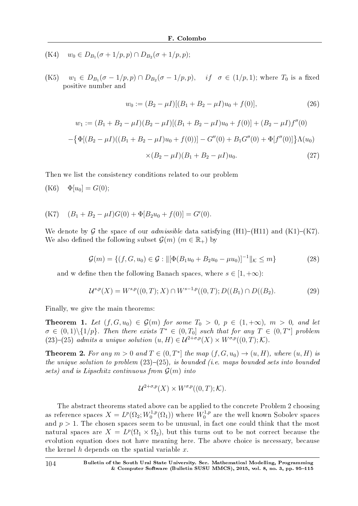- $(W4)$  *w*<sub>0</sub>  $\in$   $D_{B_1}(\sigma + 1/p, p) \cap D_{B_2}(\sigma + 1/p, p);$
- $W$ (K5) *w*<sub>1</sub> ∈ *D*<sub>*B*<sub>1</sub></sub>( $\sigma$  − 1/*p*, *p*) ∩ *D*<sub>*B*<sub>2</sub></sub>( $\sigma$  − 1/*p*, *p*), *if*  $\sigma$  ∈ (1/*p*, 1); where *T*<sub>0</sub> is a fixed positive number and

$$
w_0 := (B_2 - \mu I)[(B_1 + B_2 - \mu I)u_0 + f(0)],
$$
\n(26)

$$
w_1 := (B_1 + B_2 - \mu I)(B_2 - \mu I)[(B_1 + B_2 - \mu I)u_0 + f(0)] + (B_2 - \mu I)f''(0)
$$
  

$$
-\{\Phi[(B_2 - \mu I)((B_1 + B_2 - \mu I)u_0 + f(0))] - G''(0) + B_1G''(0) + \Phi[f''(0)]\}\Lambda(u_0)
$$
  

$$
\times (B_2 - \mu I)(B_1 + B_2 - \mu I)u_0.
$$
 (27)

Then we list the consistency conditions related to our problem

(K6)  $\Phi[u_0] = G(0);$ 

(K7) 
$$
(B_1 + B_2 - \mu I)G(0) + \Phi[B_2u_0 + f(0)] = G'(0).
$$

We denote by  $\mathcal G$  the space of our *admissible* data satisfying (H1)–(H11) and (K1)–(K7). We also defined the following subset  $\mathcal{G}(m)$  ( $m \in \mathbb{R}_+$ ) by

$$
\mathcal{G}(m) = \{ (f, G, u_0) \in \mathcal{G} : ||[\Phi(B_1 u_0 + B_2 u_0 - \mu u_0)]^{-1}||_{\mathcal{K}} \le m \}
$$
\n(28)

and w define then the following Banach spaces, where  $s \in [1, +\infty)$ :

$$
\mathcal{U}^{s,p}(X) = W^{s,p}((0,T);X) \cap W^{s-1,p}((0,T);D((B_1) \cap D((B_2). \tag{29})
$$

Finally, we give the main theorems:

**Theorem 1.** Let  $(f, G, u_0) \in \mathcal{G}(m)$  for some  $T_0 > 0$ ,  $p \in (1, +\infty)$ ,  $m > 0$ , and let  $\sigma \in (0,1) \setminus \{1/p\}$ . Then there exists  $T^* \in (0,T_0]$  such that for any  $T \in (0,T^*]$  problem  $(23)-(25)$  admits a unique solution  $(u, H) \in \mathcal{U}^{2+\sigma,p}(X) \times W^{\sigma,p}((0,T); \mathcal{K}).$ 

**Theorem 2.** For any  $m > 0$  and  $T \in (0, T^*]$  the map  $(f, G, u_0) \rightarrow (u, H)$ , where  $(u, H)$  is the unique solution to problem  $(23)-(25)$ , is bounded (i.e. maps bounded sets into bounded sets) and is Lipschitz continuous from *G*(*m*) into

$$
\mathcal{U}^{2+\sigma,p}(X) \times W^{\sigma,p}((0,T); \mathcal{K}).
$$

The abstract theorems stated above can be applied to the concrete Problem 2 choosing as reference spaces  $X = L^p(\Omega_2; W_0^{1,p})$  $W_0^{1,p}(\Omega_1)$ ) where  $W_0^{1,p}$  $_{0}^{\text{1,p}}$  are the well known Sobolev spaces and  $p > 1$ . The chosen spaces seem to be unusual, in fact one could think that the most natural spaces are  $X = L^p(\Omega_1 \times \Omega_2)$ , but this turns out to be not correct because the evolution equation does not have meaning here. The above choice is necessary, because the kernel *h* depends on the spatial variable *x*.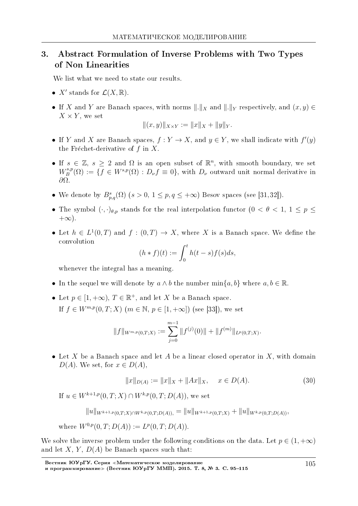# 3. Abstract Formulation of Inverse Problems with Two Types of Non Linearities

We list what we need to state our results.

- $X'$  stands for  $\mathcal{L}(X,\mathbb{R})$ .
- If *X* and *Y* are Banach spaces, with norms  $\|\cdot\|_X$  and  $\|\cdot\|_Y$  respectively, and  $(x, y) \in$  $X \times Y$ , we set

$$
||(x,y)||_{X\times Y} := ||x||_X + ||y||_Y.
$$

- If *Y* and *X* are Banach spaces,  $f: Y \to X$ , and  $y \in Y$ , we shall indicate with  $f'(y)$ the Frechet-derivative of *f* in *X*.
- If  $s \in \mathbb{Z}$ ,  $s \geq 2$  and  $\Omega$  is an open subset of  $\mathbb{R}^n$ , with smooth boundary, we set  $W^{s,p}_B$  $B^{s,p}(\Omega) := \{ f \in W^{s,p}(\Omega) : D_{\nu} f \equiv 0 \}$ , with  $D_{\nu}$  outward unit normal derivative in *∂*Ω.
- We denote by  $B_{p,q}^s(\Omega)$  ( $s > 0, 1 \le p, q \le +\infty$ ) Besov spaces (see [31, 32]).
- The symbol  $(\cdot, \cdot)_{\theta, p}$  stands for the real interpolation functor  $(0 < \theta < 1, 1 \le p \le$ +*∞*).
- Let  $h \in L^1(0,T)$  and  $f : (0,T) \to X$ , where X is a Banach space. We define the convolution

$$
(h * f)(t) := \int_0^t h(t - s) f(s) ds,
$$

whenever the integral has a meaning.

- *•* In the sequel we will denote by *a ∧ b* the number min*{a, b}* where *a, b ∈* R.
- Let  $p \in [1, +\infty)$ ,  $T \in \mathbb{R}^+$ , and let *X* be a Banach space. If *f* ∈ *W*<sup>*m,p*</sup>(0*, T*; *X*) (*m* ∈ N, *p* ∈ [1*,* +∞]) (see [33]), we set

$$
||f||_{W^{m,p}(0,T;X)} := \sum_{j=0}^{m-1} ||f^{(j)}(0)|| + ||f^{(m)}||_{L^p(0,T;X)}.
$$

*•* Let *X* be a Banach space and let *A* be a linear closed operator in *X*, with domain *D*(*A*). We set, for  $x \in D(A)$ ,

$$
||x||_{D(A)} := ||x||_X + ||Ax||_X, \quad x \in D(A).
$$
\n(30)

If *u* ∈ *W*<sup>*k*+1*,p*</sup>(0*, T*; *X*) ∩ *W*<sup>*k,p*</sup>(0*, T*; *D*(*A*)), we set

$$
||u||_{W^{k+1,p}(0,T;X)\cap W^{k,p}(0,T;D(A))} = ||u||_{W^{k+1,p}(0,T;X)} + ||u||_{W^{k,p}(0,T;D(A))},
$$

where 
$$
W^{0,p}(0,T;D(A)) := L^p(0,T;D(A)).
$$

We solve the inverse problem under the following conditions on the data. Let  $p \in (1, +\infty)$ and let  $X, Y, D(A)$  be Banach spaces such that: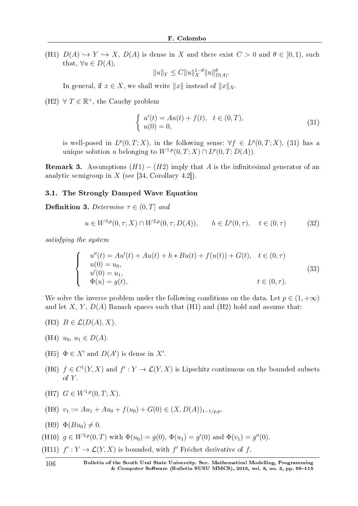(H1)  $D(A) \hookrightarrow Y \hookrightarrow X$ ,  $D(A)$  is dense in X and there exist  $C > 0$  and  $\theta \in [0,1)$ , such that,  $\forall u \in D(A)$ ,

$$
||u||_Y \leq C||u||_X^{1-\theta}||u||_{D(A)}^{\theta}.
$$

In general, if  $x \in X$ , we shall write  $||x||$  instead of  $||x||_X$ .

(H2)  $\forall T \in \mathbb{R}^+$ , the Cauchy problem

$$
\begin{cases}\n u'(t) = Au(t) + f(t), & t \in (0, T), \\
 u(0) = 0,\n\end{cases}
$$
\n(31)

is well-posed in  $L^p(0,T;X)$ , in the following sense:  $\forall f \in L^p(0,T;X)$ , (31) has a unique solution *u* belonging to  $W^{1,p}(0,T;X) \cap L^p(0,T;D(A)).$ 

**Remark 3.** Assumptions  $(H1) - (H2)$  imply that *A* is the infinitesimal generator of an analytic semigroup in *X* (see [34, Corollary 4.2]).

#### 3.1. The Strongly Damped Wave Equation

**Definition 3.** Determine  $\tau \in (0, T]$  and

$$
u \in W^{3,p}(0,\tau;X) \cap W^{2,p}(0,\tau;D(A)), \qquad h \in L^p(0,\tau), \quad t \in (0,\tau)
$$
 (32)

satisfying the system

$$
\begin{cases}\n u''(t) = Au'(t) + Au(t) + h * Bu(t) + f(u(t)) + G(t), & t \in (0, \tau) \\
 u(0) = u_0, & u'(0) = u_1, \\
 u'(0) = g(t), & t \in (0, \tau).\n\end{cases}
$$
\n(33)

We solve the inverse problem under the following conditions on the data. Let  $p \in (1, +\infty)$ and let *X*, *Y*,  $D(A)$  Banach spaces such that (H1) and (H2) hold and assume that:

- (H3)  $B \in \mathcal{L}(D(A), X)$ .
- (H4)  $u_0, u_1 \in D(A)$ .
- (H5)  $\Phi \in X'$  and  $D(A')$  is dense in  $X'$ .
- (H6)  $f \in C^1(Y, X)$  and  $f' : Y \to \mathcal{L}(Y, X)$  is Lipschitz continuous on the bounded subsets of *Y* .

(H7) 
$$
G \in W^{1,p}(0,T;X)
$$
.

(H8) 
$$
v_1 := Au_1 + Au_0 + f(u_0) + G(0) \in (X, D(A))_{1-1/p,p}
$$
.

- $(H9) \Phi(Bu_0) \neq 0.$
- (H10)  $g \in W^{3,p}(0,T)$  with  $\Phi(u_0) = g(0), \Phi(u_1) = g'(0)$  and  $\Phi(v_1) = g''(0)$ .
- (H11)  $f' : Y \to \mathcal{L}(Y, X)$  is bounded, with  $f'$  Fréchet derivative of  $f$ .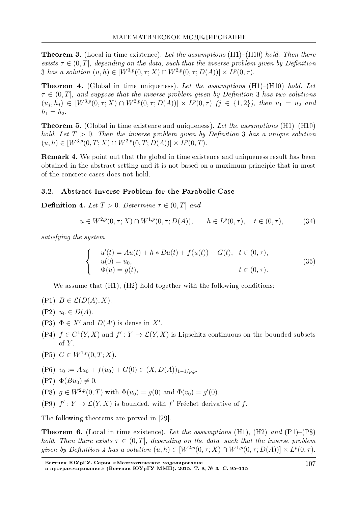**Theorem 3.** (Local in time existence). Let the assumptions  $(H1)-(H10)$  hold. Then there exists  $\tau \in (0, T]$ , depending on the data, such that the inverse problem given by Definition 3 has a solution  $(u, h) \in [W^{3,p}(0, \tau; X) \cap W^{2,p}(0, \tau; D(A))] \times L^p(0, \tau)$ .

**Theorem 4.** (Global in time uniqueness). Let the assumptions  $(H1)-(H10)$  hold. Let  $\tau \in (0,T]$ , and suppose that the inverse problem given by Definition 3 has two solutions  $(u_j, h_j) \in [W^{3,p}(0, \tau; X) \cap W^{2,p}(0, \tau; D(A))] \times L^p(0, \tau)$   $(j \in \{1,2\})$ , then  $u_1 = u_2$  and  $h_1 = h_2$ .

**Theorem 5.** (Global in time existence and uniqueness). Let the assumptions  $(H1)-(H10)$ hold. Let  $T > 0$ . Then the inverse problem given by Definition 3 has a unique solution  $(u, h) \in [W^{3,p}(0, T; X) \cap W^{2,p}(0, T; D(A))] \times L^p(0, T).$ 

Remark 4. We point out that the global in time existence and uniqueness result has been obtained in the abstract setting and it is not based on a maximum principle that in most of the concrete cases does not hold.

#### 3.2. Abstract Inverse Problem for the Parabolic Case

**Definition 4.** Let  $T > 0$ . Determine  $\tau \in (0, T]$  and

$$
u \in W^{2,p}(0,\tau;X) \cap W^{1,p}(0,\tau;D(A)), \qquad h \in L^p(0,\tau), \quad t \in (0,\tau), \tag{34}
$$

satisfying the system

$$
\begin{cases}\n u'(t) = Au(t) + h * Bu(t) + f(u(t)) + G(t), & t \in (0, \tau), \\
 u(0) = u_0, & t \in (0, \tau).\n\end{cases}
$$
\n(35)

We assume that  $(H1)$ ,  $(H2)$  hold together with the following conditions:

- $(P1)$   $B \in \mathcal{L}(D(A), X)$ .
- $(P2)$   $u_0 \in D(A)$ .
- (P3)  $\Phi \in X'$  and  $D(A')$  is dense in  $X'$ .
- (P4)  $f \in C^1(Y, X)$  and  $f' : Y \to \mathcal{L}(Y, X)$  is Lipschitz continuous on the bounded subsets of  $Y$ .
- $(P5)$   $G \in W^{1,p}(0,T;X)$ .

(P6) 
$$
v_0 := Au_0 + f(u_0) + G(0) \in (X, D(A))_{1-1/p,p}
$$
.

 $(P7) \Phi(Bu_0) \neq 0.$ 

(P8)  $g \in W^{2,p}(0,T)$  with  $\Phi(u_0) = g(0)$  and  $\Phi(v_0) = g'(0)$ .

(P9)  $f': Y \to \mathcal{L}(Y, X)$  is bounded, with f' Fréchet derivative of f.

The following theorems are proved in [29].

**Theorem 6.** (Local in time existence). Let the assumptions (H1), (H2) and  $(P1)$ – $(P8)$ hold. Then there exists  $\tau \in (0, T]$ , depending on the data, such that the inverse problem given by Definition 4 has a solution  $(u, h) \in [W^{2,p}(0, \tau; X) \cap W^{1,p}(0, \tau; D(A))] \times L^p(0, \tau)$ .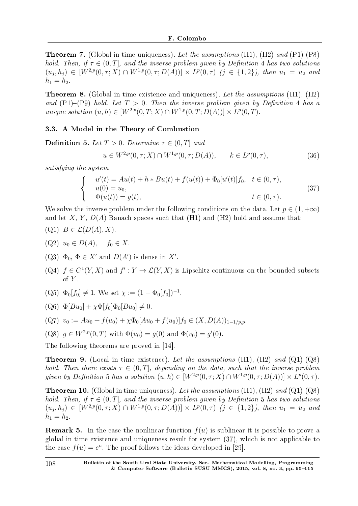**Theorem 7.** (Global in time uniqueness). Let the assumptions  $(H1)$ ,  $(H2)$  and  $(P1)$ - $(P8)$ hold. Then, if  $\tau \in (0, T]$ , and the inverse problem given by Definition 4 has two solutions  $(u_j, h_j) \in [W^{2,p}(0, \tau; X) \cap W^{1,p}(0, \tau; D(A))] \times L^p(0, \tau)$   $(j \in \{1,2\})$ , then  $u_1 = u_2$  and  $h_1 = h_2$ .

**Theorem 8.** (Global in time existence and uniqueness). Let the assumptions (H1),  $(H2)$ and  $(P1)-(P9)$  hold. Let  $T > 0$ . Then the inverse problem given by Definition 4 has a  $unique \ solution \ (u, h) \in [W^{2,p}(0,T;X) \cap W^{1,p}(0,T;D(A))] \times L^p(0,T).$ 

## 3.3. A Model in the Theory of Combustion

**Definition 5.** Let  $T > 0$ . Determine  $\tau \in (0, T]$  and

$$
u \in W^{2,p}(0,\tau;X) \cap W^{1,p}(0,\tau;D(A)), \qquad k \in L^p(0,\tau),
$$
\n(36)

satisfying the system

$$
\begin{cases}\n u'(t) = Au(t) + h * Bu(t) + f(u(t)) + \Phi_0[u'(t)]f_0, \quad t \in (0, \tau), \\
 u(0) = u_0, \\
 \Phi(u(t)) = g(t), \quad t \in (0, \tau).\n\end{cases}
$$
\n(37)

We solve the inverse problem under the following conditions on the data. Let  $p \in (1, +\infty)$ and let  $X, Y, D(A)$  Banach spaces such that  $(H1)$  and  $(H2)$  hold and assume that:  $(Q1)$   $B \in \mathcal{L}(D(A), X)$ .

- 
- (Q2)  $u_0$  ∈  $D(A)$ ,  $f_0$  ∈  $X$ .
- $(Q3) \Phi_0, \Phi \in X'$  and  $D(A')$  is dense in X<sup>*'*</sup>.
- (Q4)  $f \in C^1(Y, X)$  and  $f' : Y \to \mathcal{L}(Y, X)$  is Lipschitz continuous on the bounded subsets of  $Y$ .
- $(Q5) \Phi_0[f_0] \neq 1$ . We set  $\chi := (1 \Phi_0[f_0])^{-1}$ .
- $(Q6) \Phi[Bu_0] + \chi \Phi[f_0] \Phi_0[Bu_0] \neq 0.$

$$
(Q7) \ v_0 := Au_0 + f(u_0) + \chi \Phi_0[Au_0 + f(u_0)]f_0 \in (X, D(A))_{1-1/p,p}.
$$

(Q8) 
$$
g \in W^{2,p}(0,T)
$$
 with  $\Phi(u_0) = g(0)$  and  $\Phi(v_0) = g'(0)$ .

The following theorems are proved in [14].

**Theorem 9.** (Local in time existence). Let the assumptions (H1), (H2) and  $(Q1)$ - $(Q8)$ hold. Then there exists  $\tau \in (0, T]$ , depending on the data, such that the inverse problem given by Definition 5 has a solution  $(u, h) \in [W^{2,p}(0, \tau; X) \cap W^{1,p}(0, \tau; D(A))] \times L^p(0, \tau)$ .

**Theorem 10.** (Global in time uniqueness). Let the assumptions  $(H1)$ ,  $(H2)$  and  $(Q1)$ - $(Q8)$ hold. Then, if  $\tau \in (0, T]$ , and the inverse problem given by Definition 5 has two solutions  $(u_j, h_j) \in [W^{2,p}(0, \tau; X) \cap W^{1,p}(0, \tau; D(A))] \times L^p(0, \tau)$   $(j \in \{1,2\})$ , then  $u_1 = u_2$  and  $h_1 = h_2.$ 

**Remark 5.** In the case the nonlinear function  $f(u)$  is sublinear it is possible to prove a global in time existence and uniqueness result for system (37), which is not applicable to the case  $f(u) = e^u$ . The proof follows the ideas developed in [29].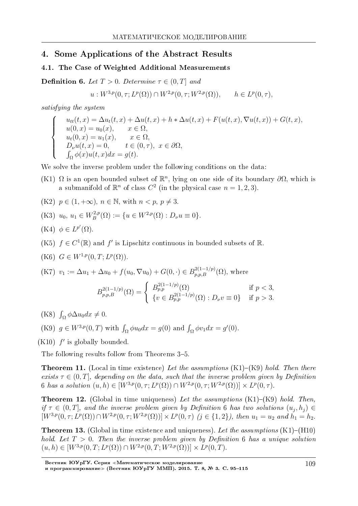## 4. Some Applications of the Abstract Results

## 4.1. The Case of Weighted Additional Measurements

**Definition 6.** Let  $T > 0$ . Determine  $\tau \in (0, T]$  and

$$
u: W^{3,p}(0,\tau; L^p(\Omega)) \cap W^{2,p}(0,\tau; W^{2,p}(\Omega)), \qquad h \in L^p(0,\tau),
$$

satisfying the system

 $\sqrt{ }$  $\int$ 

 $\overline{\mathcal{L}}$ 

$$
u_{tt}(t, x) = \Delta u_t(t, x) + \Delta u(t, x) + h * \Delta u(t, x) + F(u(t, x), \nabla u(t, x)) + G(t, x),
$$
  
\n
$$
u(0, x) = u_0(x), \quad x \in \Omega,
$$
  
\n
$$
u_t(0, x) = u_1(x), \quad x \in \Omega,
$$
  
\n
$$
D_{\nu}u(t, x) = 0, \quad t \in (0, \tau), \quad x \in \partial\Omega,
$$
  
\n
$$
\int_{\Omega} \phi(x)u(t, x)dx = g(t).
$$

We solve the inverse problem under the following conditions on the data:

(K1)  $\Omega$  is an open bounded subset of  $\mathbb{R}^n$ , lying on one side of its boundary  $\partial\Omega$ , which is a submanifold of  $\mathbb{R}^n$  of class  $C^2$  (in the physical case  $n = 1, 2, 3$ ).

(K2) 
$$
p \in (1, +\infty)
$$
,  $n \in \mathbb{N}$ , with  $n < p$ ,  $p \neq 3$ .

(K3) 
$$
u_0, u_1 \in W_B^{2,p}(\Omega) := \{u \in W^{2,p}(\Omega) : D_\nu u \equiv 0\}.
$$

$$
(\mathrm{K4}) \ \phi \in L^{p'}(\Omega).
$$

- (K5)  $f \in C^1(\mathbb{R})$  and  $f'$  is Lipschitz continuous in bounded subsets of  $\mathbb{R}$ .
- $(K6)$   $G \in W^{1,p}(0,T; L^p(\Omega)).$

(K7) 
$$
v_1 := \Delta u_1 + \Delta u_0 + f(u_0, \nabla u_0) + G(0, \cdot) \in B_{p,p,B}^{2(1-1/p)}(\Omega)
$$
, where  

$$
B_{p,p,B}^{2(1-1/p)}(\Omega) = \begin{cases} B_{p,p}^{2(1-1/p)}(\Omega) & \text{if } p < 3, \\ \{v \in B_{p,p}^{2(1-1/p)}(\Omega) : D_{\nu}v \equiv 0\} & \text{if } p > 3. \end{cases}
$$

- $(K8)$   $\int_{\Omega} \phi \Delta u_0 dx \neq 0.$
- (K9)  $g \in W^{3,p}(0,T)$  with  $\int_{\Omega} \phi u_0 dx = g(0)$  and  $\int_{\Omega} \phi v_1 dx = g'(0)$ .

 $(K10)$   $f'$  is globally bounded.

The following results follow from Theorems 3–5.

**Theorem 11.** (Local in time existence) Let the assumptions  $(K1)-(K9)$  hold. Then there exists  $\tau \in (0, T]$ , depending on the data, such that the inverse problem given by Definition 6 has a solution  $(u, h) \in [W^{3,p}(0, \tau; L^p(\Omega)) \cap W^{2,p}(0, \tau; W^{2,p}(\Omega))] \times L^p(0, \tau)$ .

**Theorem 12.** (Global in time uniqueness) Let the assumptions  $(K1)$ – $(K9)$  hold. Then, if  $\tau \in (0,T]$ , and the inverse problem given by Definition 6 has two solutions  $(u_j, h_j) \in$  $[W^{3,p}(0,\tau;L^p(\Omega)) \cap W^{2,p}(0,\tau;W^{2,p}(\Omega))] \times L^p(0,\tau)$   $(j \in \{1,2\})$ , then  $u_1 = u_2$  and  $h_1 = h_2$ .

**Theorem 13.** (Global in time existence and uniqueness). Let the assumptions  $(K1)$ – $(H10)$ hold. Let  $T > 0$ . Then the inverse problem given by Definition 6 has a unique solution  $(u, h) \in [W^{3,p}(0, T; L^p(\Omega)) \cap W^{2,p}(0, T; W^{2,p}(\Omega))] \times L^p(0, T).$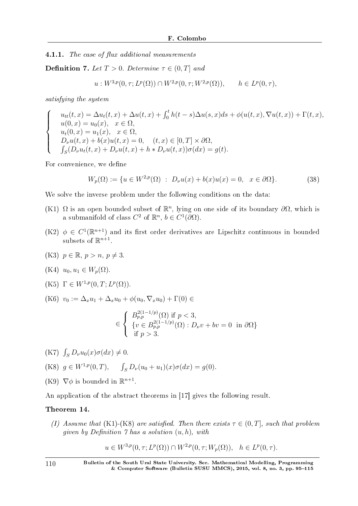4.1.1. The case of flux additional measurements

**Definition 7.** Let  $T > 0$ . Determine  $\tau \in (0, T]$  and

$$
u: W^{3,p}(0,\tau; L^p(\Omega)) \cap W^{2,p}(0,\tau; W^{2,p}(\Omega)), \quad h \in L^p(0,\tau),
$$

satisfying the system

$$
\begin{cases}\n u_{tt}(t,x) = \Delta u_t(t,x) + \Delta u(t,x) + \int_0^t h(t-s)\Delta u(s,x)ds + \phi(u(t,x), \nabla u(t,x)) + \Gamma(t,x), \\
 u(0,x) = u_0(x), \quad x \in \Omega, \\
 u_t(0,x) = u_1(x), \quad x \in \Omega, \\
 D_\nu u(t,x) + b(x)u(t,x) = 0, \quad (t,x) \in [0,T] \times \partial\Omega, \\
 \int_S (D_\nu u_t(t,x) + D_\nu u(t,x) + h * D_\nu u(t,x))\sigma(dx) = g(t).\n\end{cases}
$$

For convenience, we define

$$
W_p(\Omega) := \{ u \in W^{2,p}(\Omega) : D_\nu u(x) + b(x)u(x) = 0, \quad x \in \partial\Omega \}.
$$
 (38)

We solve the inverse problem under the following conditions on the data:

- (K1)  $\Omega$  is an open bounded subset of  $\mathbb{R}^n$ , lying on one side of its boundary  $\partial\Omega$ , which is a submanifold of class  $C^2$  of  $\mathbb{R}^n$ ,  $b \in C^1(\partial\Omega)$ .
- $(K2)$   $\phi \in C^1(\mathbb{R}^{n+1})$  and its first order derivatives are Lipschitz continuous in bounded subsets of  $\mathbb{R}^{n+1}$ .
- (K3)  $p \in \mathbb{R}, p > n, p \neq 3$ .

$$
(K4) u_0, u_1 \in W_p(\Omega).
$$

- $(K5)$   $\Gamma \in W^{1,p}(0,T; L^p(\Omega)).$
- (K6) *v*<sup>0</sup> := ∆*xu*<sup>1</sup> + ∆*xu*<sup>0</sup> + *ϕ*(*u*0*, ∇xu*0) + Γ(0) *∈*

$$
\in \left\{ \begin{array}{l} B_{p,p}^{2(1-1/p)}(\Omega) \text{ if } p < 3, \\ \{v \in B_{p,p}^{2(1-1/p)}(\Omega) : D_{\nu}v + bv = 0 \text{ in } \partial\Omega \} \\ \text{ if } p > 3. \end{array} \right.
$$

 $(K7)$   $\int_{S} D_{\nu}u_{0}(x)\sigma(dx) \neq 0.$ 

(K8) 
$$
g \in W^{1,p}(0,T)
$$
,  $\int_S D_{\nu}(u_0 + u_1)(x)\sigma(dx) = g(0)$ .

(K9)  $\nabla \phi$  is bounded in  $\mathbb{R}^{n+1}$ .

An application of the abstract theorems in [17] gives the following result.

### Theorem 14.

(I) Assume that (K1)-(K8) are satisfied. Then there exists  $\tau \in (0, T]$ , such that problem given by Definition  $\gamma$  has a solution  $(u, h)$ , with

$$
u \in W^{3,p}(0,\tau;L^p(\Omega)) \cap W^{2,p}(0,\tau;W_p(\Omega)), \quad h \in L^p(0,\tau).
$$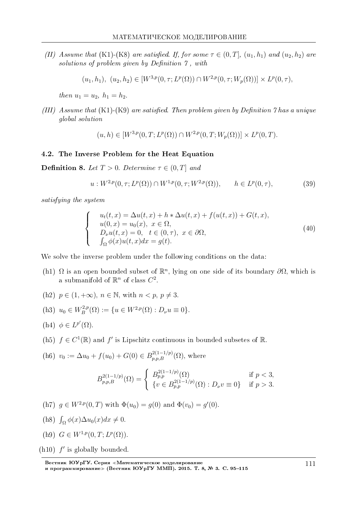(II) Assume that (K1)-(K8) are satisfied. If, for some  $\tau \in (0, T]$ ,  $(u_1, h_1)$  and  $(u_2, h_2)$  are solutions of problem given by Definition  $\gamma$ , with

$$
(u_1, h_1), (u_2, h_2) \in [W^{3,p}(0, \tau; L^p(\Omega)) \cap W^{2,p}(0, \tau; W_p(\Omega))] \times L^p(0, \tau),
$$

 $then u_1 = u_2, h_1 = h_2.$ 

(III) Assume that  $(K1)-(K9)$  are satisfied. Then problem given by Definition 7 has a unique global solution

 $(u, h) \in [W^{3,p}(0, T; L^p(\Omega)) \cap W^{2,p}(0, T; W_p(\Omega))] \times L^p(0, T)$ .

#### 4.2. The Inverse Problem for the Heat Equation

**Definition 8.** Let  $T > 0$ . Determine  $\tau \in (0, T]$  and

$$
u: W^{2,p}(0,\tau; L^p(\Omega)) \cap W^{1,p}(0,\tau; W^{2,p}(\Omega)), \qquad h \in L^p(0,\tau), \tag{39}
$$

satisfying the system

$$
\begin{cases}\n u_t(t,x) = \Delta u(t,x) + h * \Delta u(t,x) + f(u(t,x)) + G(t,x), \\
 u(0,x) = u_0(x), \quad x \in \Omega, \\
 D_\nu u(t,x) = 0, \quad t \in (0,\tau), \quad x \in \partial\Omega, \\
 \int_{\Omega} \phi(x)u(t,x)dx = g(t).\n\end{cases}
$$
\n(40)

We solve the inverse problem under the following conditions on the data:

- (h1) Ω is an open bounded subset of  $\mathbb{R}^n$ , lying on one side of its boundary  $\partial\Omega$ , which is a submanifold of  $\mathbb{R}^n$  of class  $C^2$ .
- (h2)  $p \in (1, +\infty)$ ,  $n \in \mathbb{N}$ , with  $n < p, p \neq 3$ .

(h3) 
$$
u_0 \in W_B^{2,p}(\Omega) := \{ u \in W^{2,p}(\Omega) : D_\nu u \equiv 0 \}.
$$

- (h4)  $\phi \in L^{p'}(\Omega)$ .
- (h5)  $f \in C^1(\mathbb{R})$  and  $f'$  is Lipschitz continuous in bounded subsetes of  $\mathbb{R}$ .

(h6) 
$$
v_0 := \Delta u_0 + f(u_0) + G(0) \in B_{p,p,B}^{2(1-1/p)}(\Omega)
$$
, where

$$
B_{p,p,B}^{2(1-1/p)}(\Omega) = \begin{cases} B_{p,p}^{2(1-1/p)}(\Omega) & \text{if } p < 3, \\ \{v \in B_{p,p}^{2(1-1/p)}(\Omega) : D_{\nu}v \equiv 0\} & \text{if } p > 3. \end{cases}
$$

(h7) 
$$
g \in W^{2,p}(0,T)
$$
 with  $\Phi(u_0) = g(0)$  and  $\Phi(v_0) = g'(0)$ .

- (h8)  $\int_{\Omega} \phi(x) \Delta u_0(x) dx \neq 0.$
- (h9)  $G \in W^{1,p}(0,T; L^p(\Omega)).$
- $(h10)$   $f'$  is globally bounded.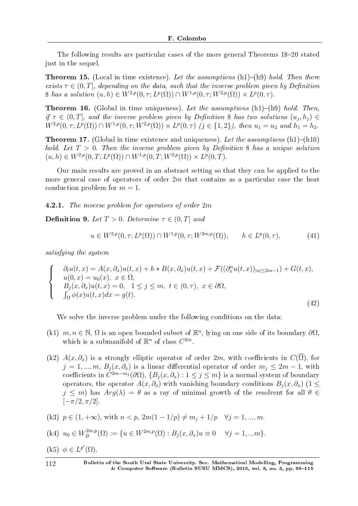The following results are particular cases of the more general Theorems  $18-20$  stated just in the sequel.

**Theorem 15.** (Local in time existence). Let the assumptions (h1)–(h9) hold. Then there exists  $\tau \in (0, T]$ , depending on the data, such that the inverse problem given by Definition 8 has a solution  $(u, h) \in W^{2,p}(0, \tau; L^p(\Omega)) \cap W^{1,p}(0, \tau; W^{2,p}(\Omega)) \times L^p(0, \tau)$ .

**Theorem 16.** (Global in time uniqueness). Let the assumptions  $(h1)-(h9)$  hold. Then, if  $\tau \in (0,T]$ , and the inverse problem given by Definition 8 has two solutions  $(u_j, h_j) \in$  $W^{2,p}(0,\tau;L^p(\Omega)) \cap W^{1,p}(0,\tau;W^{2,p}(\Omega)) \times L^p(0,\tau)$   $(j \in \{1,2\})$ , then  $u_1 = u_2$  and  $h_1 = h_2$ .

**Theorem 17.** (Global in time existence and uniqueness). Let the assumptions  $(h1)-(h10)$ hold. Let  $T > 0$ . Then the inverse problem given by Definition 8 has a unique solution  $(u, h) \in W^{2,p}(0, T; L^p(\Omega)) \cap W^{1,p}(0, T; W^{2,p}(\Omega)) \times L^p(0, T).$ 

Our main results are proved in an abstract setting so that they can be applied to the more general case of operators of order 2*m* that contains as a particular case the heat conduction problem for  $m = 1$ .

4.2.1. The inverse problem for operators of order 2*m*

**Definition 9.** Let  $T > 0$ . Determine  $\tau \in (0, T]$  and

$$
u \in W^{2,p}(0,\tau;L^p(\Omega)) \cap W^{1,p}(0,\tau;W^{2m,p}(\Omega)), \qquad h \in L^p(0,\tau),
$$
 (41)

satisfying the system

$$
\begin{cases}\n\partial_t u(t,x) = A(x,\partial_x)u(t,x) + h * B(x,\partial_x)u(t,x) + \mathcal{F}((\partial_x^{\alpha}u(t,x))_{|\alpha| \le 2m-1}) + G(t,x), \\
u(0,x) = u_0(x), \ x \in \Omega, \\
B_j(x,\partial_x)u(t,x) = 0, \ 1 \le j \le m, \ t \in (0,\tau), \ x \in \partial\Omega, \\
\int_{\Omega} \phi(x)u(t,x)dx = g(t).\n\end{cases}
$$
\n(42)

We solve the inverse problem under the following conditions on the data:

- (k1)  $m, n \in \mathbb{N}, \Omega$  is an open bounded subset of  $\mathbb{R}^n$ , lying on one side of its boundary  $\partial\Omega$ , which is a submanifold of  $\mathbb{R}^n$  of class  $C^{2m}$ .
- (k2)  $A(x, \partial_x)$  is a strongly elliptic operator of order 2*m*, with coefficients in  $C(\overline{\Omega})$ , for  $j = 1, ..., m$ ,  $B_i(x, \partial_x)$  is a linear differential operator of order  $m_i \leq 2m - 1$ , with  ${\rm coefficient}\sin C^{2m-m_j}(\partial\Omega),\{B_j(x,\partial_x):1\leq j\leq m\}$  is a normal system of boundary operators, the operator  $A(x, \partial_x)$  with vanishing boundary conditions  $B_i(x, \partial_x)$  (1  $\leq$  $j \leq m$ ) has  $Arg(\lambda) = \theta$  as a ray of minimal growth of the resolvent for all  $\theta \in$ [*−π/*2*, π/*2].

(k3) 
$$
p \in (1, +\infty)
$$
, with  $n < p$ ,  $2m(1 - 1/p) \neq m_j + 1/p$   $\forall j = 1, ..., m$ .

(k4) 
$$
u_0 \in W_B^{2m,p}(\Omega) := \{ u \in W^{2m,p}(\Omega) : B_j(x, \partial_x)u \equiv 0 \quad \forall j = 1, ...m \}.
$$

 $(k5) \phi \in L^{p'}(\Omega).$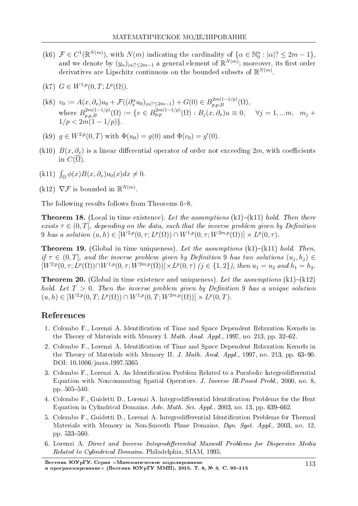- (k6)  $\mathcal{F} \in C^1(\mathbb{R}^{N(m)})$ , with  $N(m)$  indicating the cardinality of  $\{\alpha \in \mathbb{N}_0^n : |\alpha|^2 \leq 2m 1\}$ , and we denote by  $(y_\alpha)_{|\alpha|^2 \leq 2m-1}$  a general element of  $\mathbb{R}^{N(m)}$ ; moreover, its first order derivatives are Lipschitz continuous on the bounded subsets of R *N*(*m*) .
- $(K7)$   $G \in W^{1,p}(0,T; L^p(\Omega)).$
- (k8)  $v_0 := A(x, \partial_x)u_0 + \mathcal{F}((\partial_x^{\alpha} u_0)_{|\alpha|^2 \le 2m-1}) + G(0) \in B_{p,p,B}^{2m(1-1/p)}(\Omega),$ where  $B_{p,p,B}^{2m(1-1/p)}(\Omega) := \{v \in B_{p,p}^{2m(1-1/p)}(\Omega) : B_j(x,\partial_x)u \equiv 0, \quad \forall j = 1,...m, m_j + 1\}$  $1/p < 2m(1-1/p)$ .
- (k9)  $g \in W^{2,p}(0,T)$  with  $\Phi(u_0) = g(0)$  and  $\Phi(v_0) = g'(0)$ .
- (k10)  $B(x, \partial_x)$  is a linear differential operator of order not exceeding 2*m*, with coefficients in  $C(\Omega)$ .
- $(\text{k}11)$   $\int_{\Omega} \phi(x)B(x,\partial_x)u_0(x)dx \neq 0.$
- $(k12)$   $\nabla$ *F* is bounded in  $\mathbb{R}^{N(m)}$ .

The following results follows from Theorems  $6-8$ .

**Theorem 18.** (Local in time existence). Let the assumptions  $(k1)-(k11)$  hold. Then there exists  $\tau \in (0, T]$ , depending on the data, such that the inverse problem given by Definition  $9$  has a solution  $(u, h) \in [W^{2,p}(0, \tau; L^p(\Omega)) \cap W^{1,p}(0, \tau; W^{2m,p}(\Omega))] \times L^p(0, \tau)$ .

**Theorem 19.** (Global in time uniqueness). Let the assumptions  $(k1)-(k11)$  hold. Then, if  $\tau \in (0,T]$ , and the inverse problem given by Definition 9 has two solutions  $(u_j, h_j) \in$  $[W^{2,p}(0,\tau;L^p(\Omega))\cap W^{1,p}(0,\tau;W^{2m,p}(\Omega))] \times L^p(0,\tau)$   $(j \in \{1,2\})$ , then  $u_1 = u_2$  and  $h_1 = h_2$ .

**Theorem 20.** (Global in time existence and uniqueness). Let the assumptions  $(k1)-(k12)$ hold. Let  $T > 0$ . Then the inverse problem given by Definition 9 has a unique solution  $(u, h) \in [W^{2,p}(0, T; L^p(\Omega)) \cap W^{1,p}(0, T; W^{2m,p}(\Omega))] \times L^p(0, T).$ 

## References

- 1. Colombo F., Lorenzi A. Identification of Time and Space Dependent Relaxation Kernels in the Theory of Materials with Memory I. *Math. Anal. Appl.*, 1997, no. 213, pp. 32–62.
- 2. Colombo F., Lorenzi A. Identification of Time and Space Dependent Relaxation Kernels in the Theory of Materials with Memory II. J. Math. Anal. Appl., 1997, no. 213, pp. 63–90. DOI: 10.1006/jmaa.1997.5365
- 3. Colombo F., Lorenzi A. An Identification Problem Related to a Parabolic Integrodifferential Equation with Noncommuting Spatial Operators. J. Inverse Ill-Posed Probl., 2000, no. 8, pp.  $505 - 540$ .
- 4. Colombo F., Guidetti D., Lorenzi A. Integrodifferential Identification Problems for the Heat Equation in Cylindrical Domains. Adv. Math. Sci. Appl., 2003, no. 13, pp. 639–662.
- 5. Colombo F., Guidetti D., Lorenzi A. Integrodifferential Identification Problems for Thermal Materials with Memory in Non-Smooth Plane Domains. Dyn. Syst. Appl., 2003, no. 12, pp. 533-560.
- 6. Lorenzi A. Direct and Inverse Integrodifferential Maxwell Problems for Dispersive Media Related to Cylindrical Domains. Philadelphia, SIAM, 1995.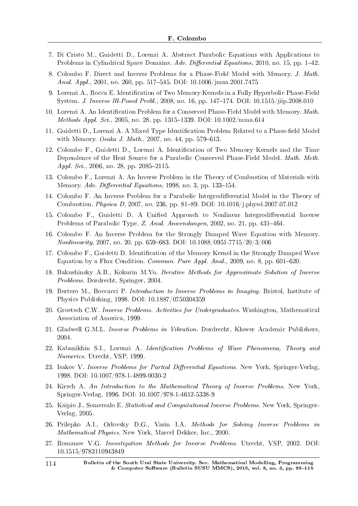- 7. Di Cristo M., Guidetti D., Lorenzi A. Abstract Parabolic Equations with Applications to Problems in Cylindrical Space Domains. Adv. Differential Equations, 2010, no. 15, pp.  $1-42$ .
- 8. Colombo F. Direct and Inverse Problems for a Phase-Field Model with Memory. J. Math. Anal. Appl., 2001, no. 260, pp. 517–545. DOI: 10.1006/jmaa.2001.7475
- 9. Lorenzi A., Rocca E. Identification of Two Memory Kernels in a Fully Hyperbolic Phase-Field System. J. Inverse Ill-Posed Probl., 2008, no. 16, pp. 147-174. DOI: 10.1515/jiip.2008.010
- 10. Lorenzi A. An Identification Problem for a Conserved Phase-Field Model with Memory. Math. *Methods Appl. Sci.*, 2005, no. 28, pp. 1315–1339. DOI:  $10.1002/\text{mm}$ a.614
- 11. Guidetti D., Lorenzi A. A Mixed Type Identification Problem Related to a Phase-field Model with Memory. *Osaka J. Math.*, 2007, no. 44, pp. 579–613.
- 12. Colombo F., Guidetti D., Lorenzi A. Identication of Two Memory Kernels and the Time Dependence of the Heat Source for a Parabolic Conserved Phase-Field Model. Math. Meth. Appl. Sci., 2006, no. 28, pp. 2085-2115.
- 13. Colombo F., Lorenzi A. An Inverse Problem in the Theory of Combustion of Materials with Memory. Adv. Differential Equations, 1998, no. 3, pp. 133-154.
- 14. Colombo F. An Inverse Problem for a Parabolic Integrodifferential Model in the Theory of Combustion. Physica D, 2007, no. 236, pp. 81-89. DOI: 10.1016/j.physd.2007.07.012
- 15. Colombo F., Guidetti D. A Unified Approach to Nonlinear Integrodifferential Inverse Problems of Parabolic Type. Z. Anal. Anwendungen, 2002, no. 21, pp. 431-464.
- 16. Colombo F. An Inverse Problem for the Strongly Damped Wave Equation with Memory.  $Nonlinearity, 2007, no. 20, pp. 659–683. DOI: 10.1088/0951-7715/20/3/006$
- 17. Colombo F., Guidetti D. Identification of the Memory Kernel in the Strongly Damped Wave Equation by a Flux Condition. Commun. Pure Appl. Anal., 2009, no. 8, pp.  $601-620$ .
- 18. Bakushinsky A.B., Kokurin M.Yu. Iterative Methods for Approximate Solution of Inverse Problems. Dordrecht, Springer, 2004.
- 19. Bertero M., Boccacci P. Introduction to Inverse Problems in Imaging. Bristol, Institute of Physics Publishing, 1998. DOI: 10.1887/0750304359
- 20. Groetsch C.W. Inverse Problems. Activities for Undergraduates. Washington, Mathematical Association of America, 1999.
- 21. Gladwell G.M.L. Inverse Problems in Vibration. Dordrecht, Kluwer Academic Publishers, 2004.
- 22. Kabanikhin S.I., Lorenzi A. *Identification Problems of Wave Phenomena, Theory and* Numerics. Utrecht, VSP, 1999.
- 23. Isakov V. Inverse Problems for Partial Differential Equations. New York, Springer-Verlag, 1998. DOI: 10.1007/978-1-4899-0030-2
- 24. Kirsch A. An Introduction to the Mathematical Theory of Inverse Problems. New York, Springer-Verlag, 1996. DOI: 10.1007/978-1-4612-5338-9
- 25. Kaipio J., Somersalo E. Statistical and Computational Inverse Problems. New York, Springer-Verlag, 2005.
- 26. Prilepko A.I., Orlovsky D.G., Vasin I.A. Methods for Solving Inverse Problems in Mathematical Physics. New York, Marcel Dekker, Inc., 2000.
- 27. Romanov V.G. Investigation Methods for Inverse Problems. Utrecht, VSP, 2002. DOI: 10.1515/9783110943849
- 114 Bulletin of the South Ural State University. Ser. Mathematical Modelling, Programming & Computer Software (Bulletin SUSU MMCS), 2015, vol. 8, no. 3, pp.  $95-115$